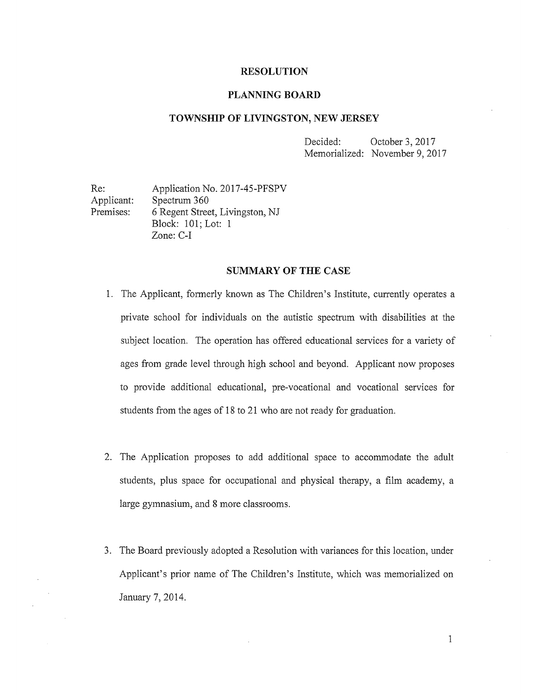#### RESOLUTION

#### PLANNING BOARD

#### TOWNSHIP OF LIVINGSTON, NEW JERSEY

Decided: October 3, 2017 Memorialized: November 9, 2017

Re: Application No. 2017-45-PFSPV Applicant: Spectrum 360 Premises: 6 Regent Street, Livingston, NJ Block: 101; Lot: <sup>1</sup> Zone: C-I

#### SUMMARY OF THE CASE

- 1. The Applicant, formerly known as The Children's Institute, cunently operates a private school for individuals on the autistic spectrum with disabilities at the subject location. The operation has offered educational services for a variety of ages from grade level through high school and beyond. Applicant now proposes to provide additional educational, pre-vocational and vocational services for students from the ages of <sup>18</sup> to 21 who are not ready for graduation.
- 2. The Application proposes to add additional space to accommodate the adult students, plus space for occupational and physical therapy, a film academy, <sup>a</sup> large gymnasium, and 8 more classrooms.
- 3. The Board previously adopted a Resolution with variances for this location, under Applicant's prior name of The Children's Institute, which was memorialized on January 7, 2014.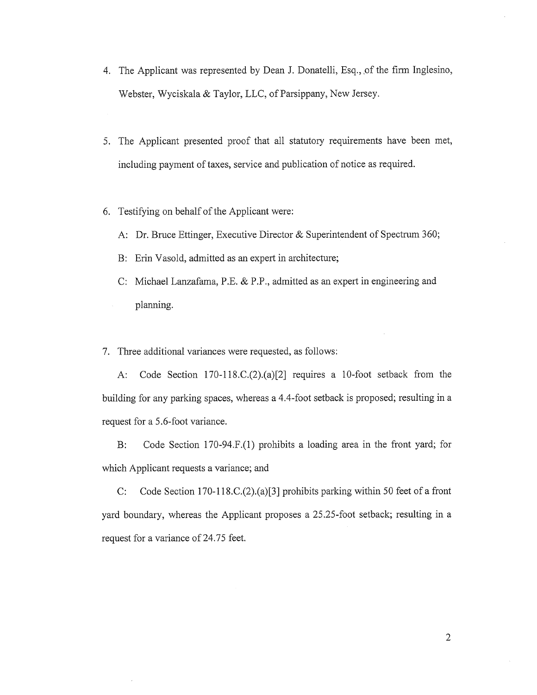- 4. The Applicant was represented by Dean J. Donatelli, Esq., of the firm Inglesino, Webster, Wyciskala & Taylor, LLC, of Parsippany, New Jersey.
- 5. The Applicant presented proof that all statutory requirements have been met, including payment of taxes, service and publication of notice as required.
- 6. Testifying on behalf of the Applicant were:
	- A: Dr. Bruce Ettinger, Executive Director & Superintendent of Spectrum 360;
	- B: Erin Vasold, admitted as an expert in architecture;
	- C: Michael Lanzafama, P.E. & P.P., admitted as an expert in engineering and planning.

7. Three additional variances were requested, as follows:

A: Code Section 170-1 18.C.(2).(a)[2] requires a 10-foot setback from the building for any parking spaces, whereas a 4.4-foot setback is proposed; resulting in a request for a 5.6-foot variance.

B: Code Section 170-94.F.(l) prohibits a loading area in the front yard; for which Applicant requests a variance; and

C: Code Section 170-1 18.C.(2).(a)[3] prohibits parking within 50 feet of a front yard boundary, whereas the Applicant proposes a 25.25-foot setback; resulting in a request for <sup>a</sup> variance of 24.75 feet.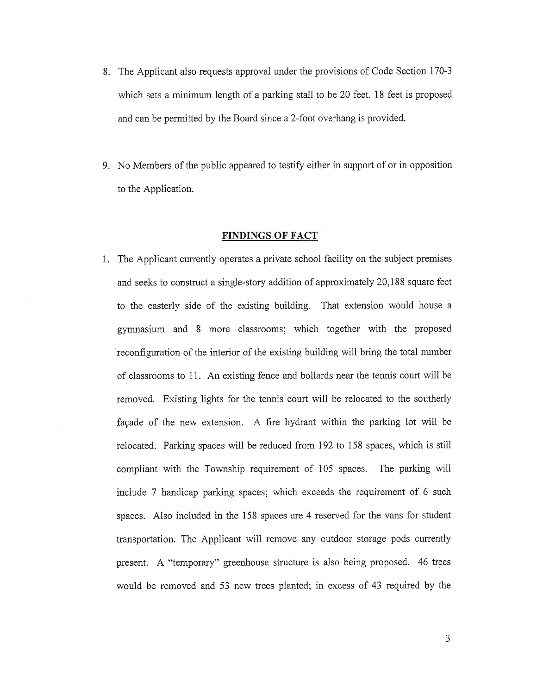- 8. The Applicant also requests approval under the provisions of Code Section 170-3 which sets a minimum length of a parking stall to be 20 feet. <sup>18</sup> feet is proposed and can be permitted by the Board since a 2-foot overhang is provided.
- 9. No Members of the public appeared to testify either in support of or in opposition to the Application.

#### FINDINGS OF FACT

1. The Applicant currently operates a private school facility on the subject premises and seeks to construct <sup>a</sup> single-story addition of approximately 20,188 square feet to the easterly side of the existing building. That extension would house a gymnasium and <sup>8</sup> more classrooms; which together with the proposed • reconfiguration of the interior of the existing building will bring the total number of classrooms to 11. An existing fence and bollards near the tennis court will be removed. Existing lights for the tennis court will be relocated to the southerly façade of the new extension. A fire hydrant within the parking lot will be relocated. Parking spaces will be reduced from 192 to 158 spaces, which is still compliant with the Township requirement of 105 spaces. The parking will include <sup>7</sup> handicap parking spaces; which exceeds the requirement of <sup>6</sup> such spaces. Also included in the 158 spaces are 4 reserved for the vans for student transportation. The Applicant will remove any outdoor storage pods currently present. A "temporary" greenhouse structure is also being proposed. 46 trees would be removed and 53 new trees planted; in excess of 43 required by the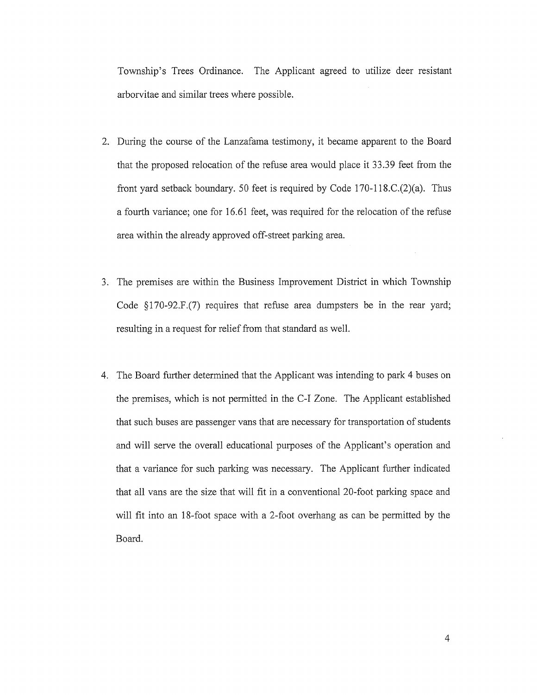Township's Trees Ordinance. The Applicant agreed to utilize deer resistant arborvitae and similar trees where possible.

- 2. During the course of the Lanzafama testimony, it became apparent to the Board that the proposed relocation of the refuse area would place it 33.39 feet from the front yard setback boundary. 50 feet is required by Code 170-1 18.C.(2)(a). Thus <sup>a</sup> fourth variance; one for 16.61 feet, was required for the relocation of the refuse area within the already approved off-street parking area.
- 3. The premises are within the Business Improvement District in which Township Code §170-92.F.(7) requires that refuse area dumpsters be in the rear yard; resulting in a request for relief from that standard as well.
- 4. The Board further determined that the Applicant was intending to park 4 buses on the premises, which is not permitted in the C-I Zone. The Applicant established that such buses are passenger vans that are necessary for transportation of students and will serve the overall educational purposes of the Applicant's operation and that a variance for such parking was necessary. The Applicant further indicated that all vans are the size that will fit in <sup>a</sup> conventional 20-foot parking space and will fit into an 18-foot space with <sup>a</sup> 2-foot overhang as can be permitted by the Board.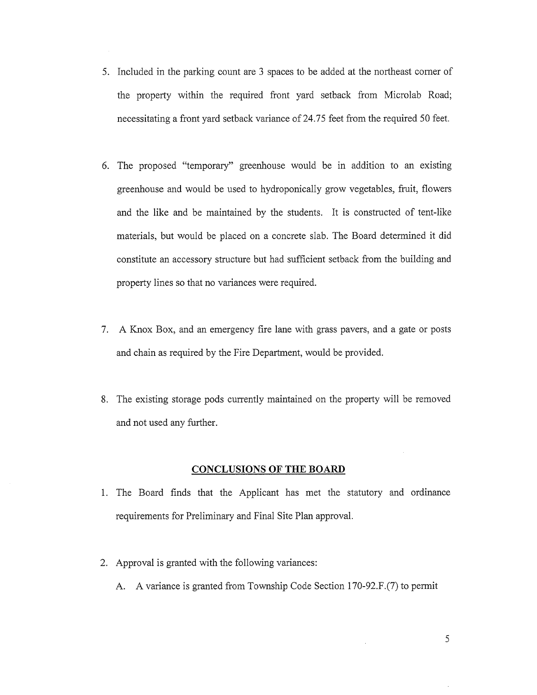- 5. Included in the parking count are <sup>3</sup> spaces to be added at the northeast corner of the property within the required front yard setback from Microlab Road; necessitating a front yard setback variance of 24.75 feet from the required 50 feet.
- 6. The proposed "temporary" greenhouse would be in addition to an existing greenhouse and would be used to hydroponically grow vegetables, fruit, flowers and the like and be maintained by the students. It is constructed of tent-like materials, but would be placed on a concrete slab. The Board determined it did constitute an accessory structure but had sufficient setback from the building and property lines so that no variances were required.
- 7. A Knox Box, and an emergency fire lane with grass payers, and a gate or posts and chain as required by the Fire Department, would be provided.
- 8. The existing storage pods currently maintained on the property will be removed and not used any further.

### CONCLUSIONS OF THE BOARD

- 1. The Board finds that the Applicant has met the statutory and ordinance requirements for Preliminary and Final Site Plan approval.
- 2. Approval is granted with the following variances:
	- A. A variance is granted from Township Code Section 170-92.F.(7) to permit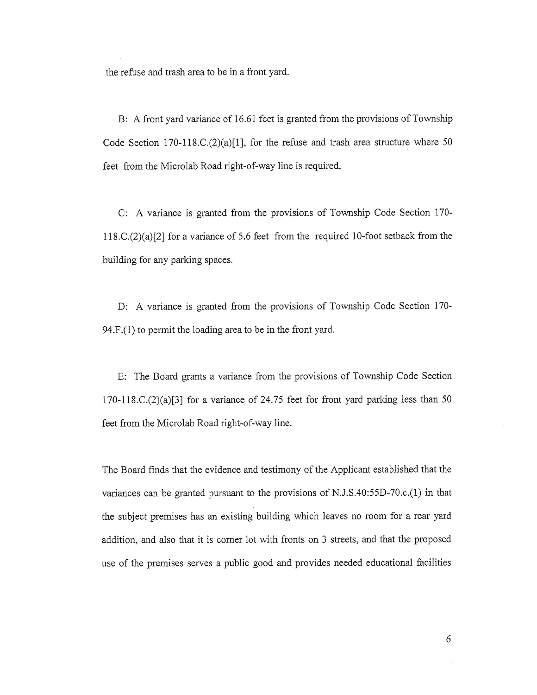the refuse and trash area to be in a front yard.

B: A front yard variance of 16.61 feet is granted from the provisions of Township Code Section 170-118.C. $(2)(a)[1]$ , for the refuse and trash area structure where 50 feet from the Microlab Road right-of-way line is required.

C: A variance is granted from the provisions of Township Code Section 170- <sup>1</sup> 18.C.(2)(a)[2] for a variance of 5.6 feet from the required 10-foot setback from the building for any parking spaces.

D: A variance is granted from the provisions of Township Code Section 170- 94.F.(1) to permit the loading area to be in the front yard.

E: The Board grants a variance from the provisions of Township Code Section  $170-118$ .C. $(2)(a)[3]$  for a variance of 24.75 feet for front yard parking less than 50 feet from the Microlab Road right-of-way line.

The Board finds that the evidence and testimony of the Applicant established that the variances can be granted pursuant to the provisions of N.J.S.40:55D-70.c.(1) in that the subject premises has an existing building which leaves no room for a rear yard addition, and also that it is corner lot with fronts on <sup>3</sup> streets, and that the proposed use of the premises serves <sup>a</sup> public good and provides needed educational facilities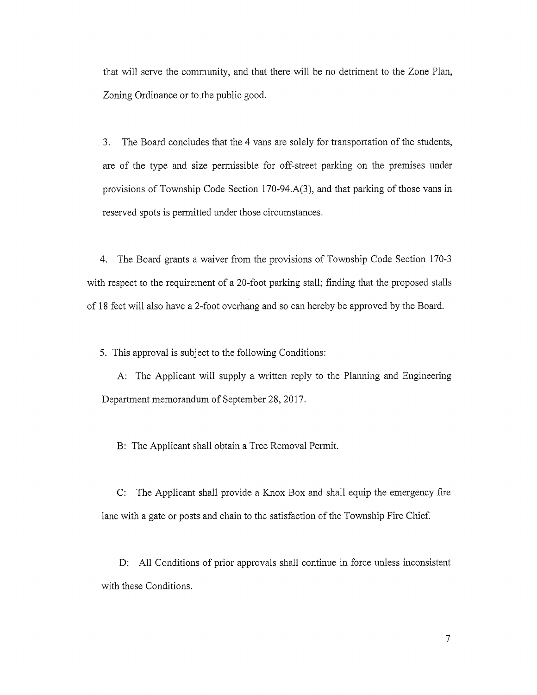that will serve the community, and that there will be no detriment to the Zone Plan, Zoning Ordinance or to the public good.

3. The Board concludes that the 4 vans are solely for transportation of the students, are of the type and size permissible for off-street parking on the premises under provisions of Township Code Section 170-94.A(3), and that parking of those vans in reserved spots is permitted under those circumstances.

4. The Board grants <sup>a</sup> waiver from the provisions of Township Code Section 170-3 with respect to the requirement of a 20-foot parking stall; finding that the proposed stalls of <sup>18</sup> feet will also have <sup>a</sup> 2-foot overhang and so can hereby be approved by the Board.

5. This approval is subject to the following Conditions:

A: The Applicant will supply <sup>a</sup> written reply to the Planning and Engineering Department memorandum of September 28, 2017.

B: The Applicant shall obtain a Tree Removal Permit.

C: The Applicant shall provide a Knox Box and shall equip the emergency fire lane with a gate or posts and chain to the satisfaction of the Township Fire Chief.

D: All Conditions of prior approvals shall continue in force unless inconsistent with these Conditions.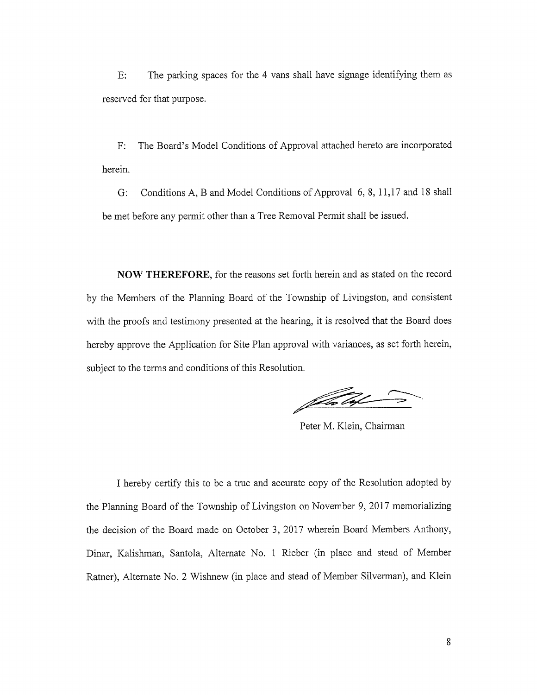E: The parking spaces for the 4 vans shall have signage identifying them as reserved for that purpose.

F: The Board's Model Conditions of Approval attached hereto are incorporated herein.

G: Conditions A, B and Model Conditions of Approval 6, 8, 11,17 and <sup>18</sup> shall be met before any permit other than a Tree Removal Permit shall be issued.

NOW THEREFORE, for the reasons set forth herein and as stated on the record by the Members of the Planning Board of the Township of Livingston, and consistent with the proofs and testimony presented at the hearing, it is resolved that the Board does hereby approve the Application for Site Plan approval with variances, as set forth herein, subject to the terms and conditions of this Resolution.

felm laf

Peter M. Klein, Chairman

I hereby certify this to be <sup>a</sup> true and accurate copy of the Resolution adopted by the Planning Board of the Township of Livingston on November 9, 2017 memorializing the decision of the Board made on October 3, 2017 wherein Board Members Anthony, Dinar, Kalishman, Santola, Alternate No. <sup>1</sup> Rieber (in place and stead of Member Ratner), Alternate No. 2 Wishnew (in place and stead of Member Silverman), and Klein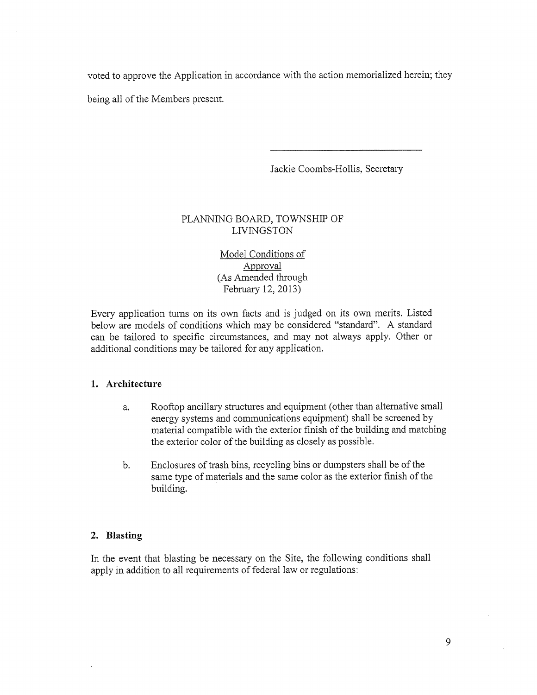voted to approve the Application in accordance with the action memorialized herein; they

being all of the Members present.

Jackie Coombs~Hollis, Secretary

# PLANNING BOARD, TOWNSHIP OF LIVINGSTON

Model Conditions of Approval (As Amended through February 12, 2013)

Every application turns on its own facts and is judged on its own merits. Listed below are models of conditions which may be considered "standard". A standard can be tailored to specific circumstances, and may not always apply. Other or additional conditions may be tailored for any application.

# 1. Architecture

- a. Rooftop ancillary structures and equipment (other than alternative small energy systems and communications equipment) shall be screened by material compatible with the exterior finish of the building and matching the exterior color of the building as closely as possible.
- b. Enclosures of trash bins, recycling bins or dumpsters shall be of the same type of materials and the same color as the exterior finish of the building.

# 2. Blasting

In the event that blasting be necessary on the Site, the following conditions shall apply in addition to all requirements of federal law or regulations: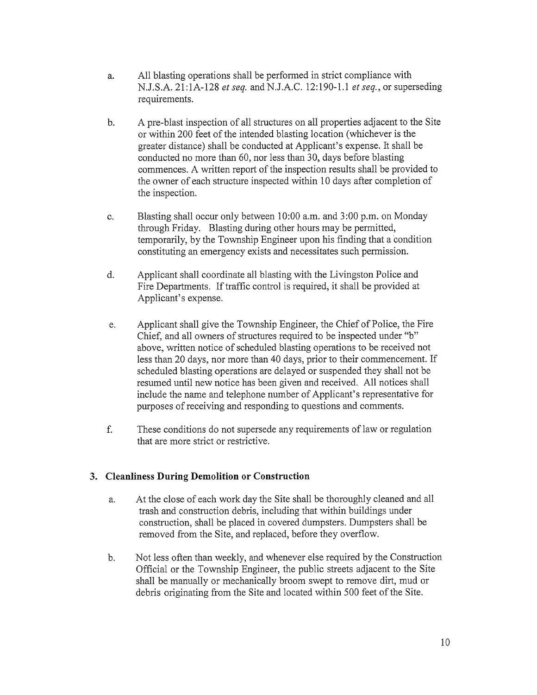- a. All blasting operations shall be performed in strict compliance with N.J.S.A. 21:1A-128 et seq. and N.J.A.C. 12:190-1.1 et seq., or superseding requirements.
- b. A pre-blast inspection of all stmctures on all properties adjacent to the Site or within 200 feet of the intended blasting location (whichever is the greater distance) shall be conducted at Applicant's expense. It shall be conducted no more than 60, nor less than 30, days before blasting commences. A written report of the inspection results shall be provided to the owner of each structure inspected within 10 days after completion of the inspection.
- c. Blasting shall occur only between 10:00 a.m. and 3:00 p.m. on Monday through Friday. Blasting during other hours may be permitted, temporarily, by the Township Engineer upon his finding that a condition constituting an emergency exists and necessitates such permission.
- d. Applicant shall coordinate all blasting with the Livingston Police and Fire Departments. If traffic control is required, it shall be provided at Applicant's expense.
- e. Applicant shall give the Township Engineer, the Chief of Police, the Fire Chief, and all owners of structures required to be inspected under "b" above, written notice of scheduled blasting operations to be received not less than <sup>20</sup> days, nor more than <sup>40</sup> days, prior to their commencement. If scheduled blasting operations are delayed or suspended they shall not be resumed until new notice has been given and received. All notices shall include the name and telephone number of Applicant's representative for purposes of receiving and responding to questions and comments.
- f. These conditions do not supersede any requirements of law or regulation that are more strict or restrictive.

# 3. Cleanliness During Demolition or Construction

- a. At the close of each work day the Site shall be thoroughly cleaned and all trash and construction debris, including that within buildings under construction, shall be placed in covered dumpsters. Dumpsters shall be removed from the Site, and replaced, before they overflow.
- b. Not less often than weekly, and whenever else required by the Construction Official or the Township Engineer, the public streets adjacent to the Site shall be manually or mechanically broom swept to remove dirt, mud or debris originating from the Site and located within 500 feet of the Site.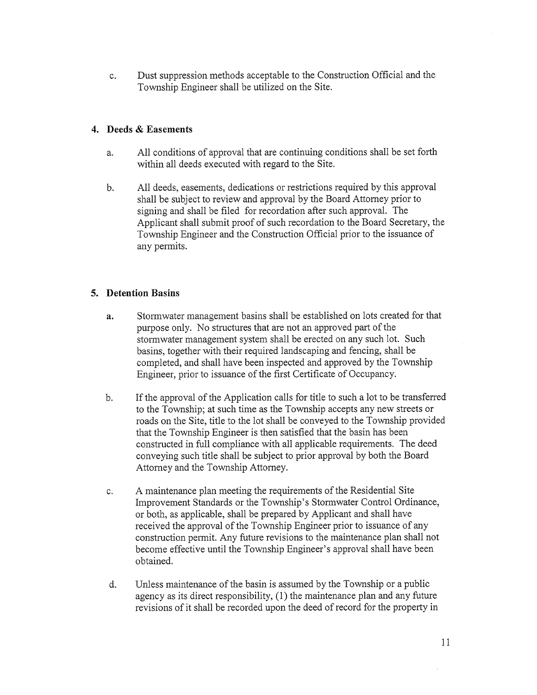c. Dust suppression methods acceptable to the Construction Official and the Township Engineer shall be utilized on the Site.

## 4. Deeds & Easements

- a, All conditions of approval that are continuing conditions shall be set forth within all deeds executed with regard to the Site.
- b. All deeds, easements, dedications or restrictions required by this approval shall be subject to review and approval by the Board Attorney prior to signing and shall be filed for recordation after such approval. The Applicant shall submit proof of such recordation to the Board Secretary, the Township Engineer and the Construction Official prior to the issuance of any permits.

# 5. Detention Basins

- a. Stormwater management basins shall be established on lots created for that purpose only. No structures that are not an approved part of the stormwater management system shall be erected on any such lot. Such basins, together with their required landscaping and fencing, shall be completed, and shall have been inspected and approved by the Township Engineer, prior to issuance of the first Certificate of Occupancy.
- b. If the approval of the Application calls for title to such a lot to be transferred to the Township; at such time as the Township accepts any new streets or roads on the Site, title to the lot shall be conveyed to the Township provided that the Township Engineer is then satisfied that the basin has been constructed in full compliance with all applicable requirements. The deed conveying such title shall be subject to prior approval by both the Board Attorney and the Township Attorney.
- c. A maintenance plan meeting the requirements of the Residential Site Improvement Standards or the Township's Stormwater Control Ordinance, or both, as applicable, shall be prepared by Applicant and shall have received the approval of the Township Engineer prior to issuance of any construction permit. Any future revisions to the maintenance plan shall not become effective until the Township Engineer's approval shall have been obtained.
- d. Unless maintenance of the basin is assumed by the Township or a public agency as its direct responsibility, (1) the maintenance plan and any future revisions of it shall be recorded upon the deed of record for the property in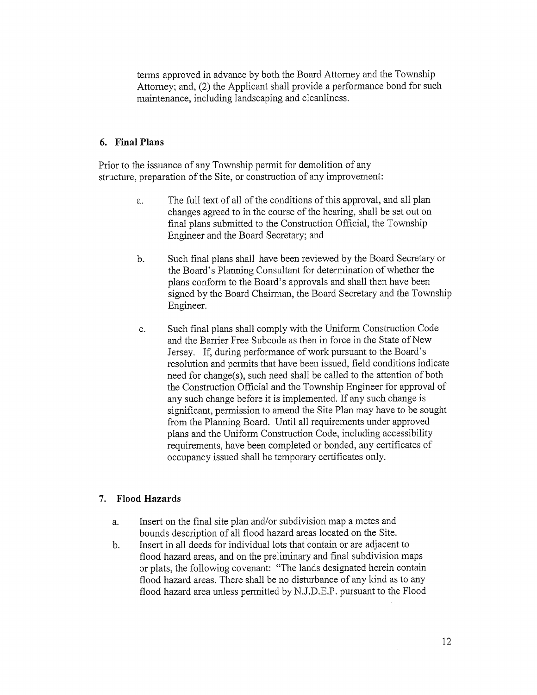terms approved in advance by both the Board Attorney and the Township Attorney; and, (2) the Applicant shall provide a performance bond for such maintenance, including landscaping and cleanliness.

### 6. Final Plans

Prior to the issuance of any Township permit for demolition of any structure, preparation of the Site, or construction of any improvement:

- a. The full text of all of the conditions of this approval, and all plan changes agreed to in the course of the hearing, shall be set out on final plans submitted to the Construction Official, the Township Engineer and the Board Secretary; and
- b. Such final plans shall have been reviewed by the Board Secretary or the Board's Planning Consultant for determination of whether the plans conform to the Board's approvals and shall then have been signed by the Board Chairman, the Board Secretary and the Township Engineer.
- c. Such final plans shall comply with the Uniform Construction Code and the Barrier Free Subcode as then in force in the State of New Jersey. If, during performance of work pursuant to the Board's resolution and pennits that have been issued, field conditions indicate need for change(s), such need shall be called to the attention of both the Construction Official and the Township Engineer for approval of any such change before it is implemented. If any such change is significant, permission to amend the Site Plan may have to be sought from the Planning Board. Until all requirements under approved plans and the Uniform Construction Code, including accessibility requirements, have been completed or bonded, any certificates of occupancy issued shall be temporary certificates only.

### 7. Flood Hazards

- a. Insert on the final site plan and/or subdivision map a metes and bounds description of all flood hazard areas located on the Site.
- b. Insert in all deeds for individual lots that contain or are adjacent to flood hazard areas, and on the preliminary and final subdivision maps or plats, the following covenant: "The lands designated herein contain flood hazard areas. There shall be no disturbance of any kind as to any flood hazard area unless permitted by N.J.D.E.P. pursuant to the Flood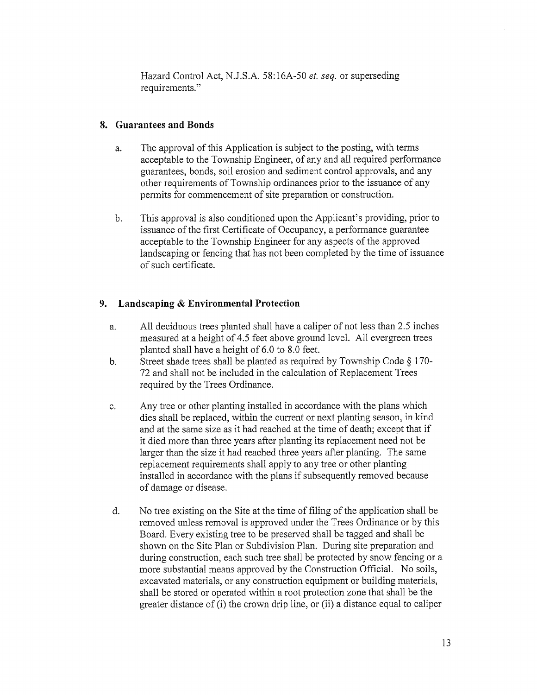Hazard Control Act, N.J.S.A. 58:16A-50 et. seq. or superseding requirements."

# 8. Guarantees and Bonds

- a. The approval of this Application is subject to the posting, with terms acceptable to the Township Engineer, of any and all required performance guarantees, bonds, soil erosion and sediment control approvals, and any other requirements of Township ordinances prior to the issuance of any permits for commencement of site preparation or construction.
- b. This approval is also conditioned upon the Applicant's providing, prior to issuance of the first Certificate of Occupancy, a performance guarantee acceptable to the Township Engineer for any aspects of the approved landscaping or fencing that has not been completed by the time of issuance of such certificate.

# 9. Landscaping & Environmental Protection

- a. All deciduous trees planted shall have <sup>a</sup> caliper of not less than 2.5 inches measured at <sup>a</sup> height of 4.5 feet above ground level. All evergreen trees planted shall have <sup>a</sup> height of 6.0 to 8.0 feet.
- b. Street shade trees shall be planted as required by Township Code § 170- 72 and shall not be included in the calculation of Replacement Trees required by the Trees Ordinance.
- c. Any tree or other planting installed in accordance with the plans which dies shall be replaced, within the current or next planting season, in kind and at the same size as it had reached at the time of death; except that if it died more than three years after planting its replacement need not be larger than the size it had reached three years after planting. The same replacement requirements shall apply to any tree or other planting installed in accordance with the plans if subsequently removed because of damage or disease.
- d. No tree existing on the Site at the time of filing of the application shall be removed unless removal is approved under the Trees Ordinance or by this Board. Every existing tree to be preserved shall be tagged and shall be shown on the Site Plan or Subdivision Plan. During site preparation and during construction, each such tree shall be protected by snow fencing or a more substantial means approved by the Construction Official. No soils, excavated materials, or any construction equipment or building materials, shall be stored or operated within a root protection zone that shall be the greater distance of (i) the crown drip line, or (ii) a distance equal to caliper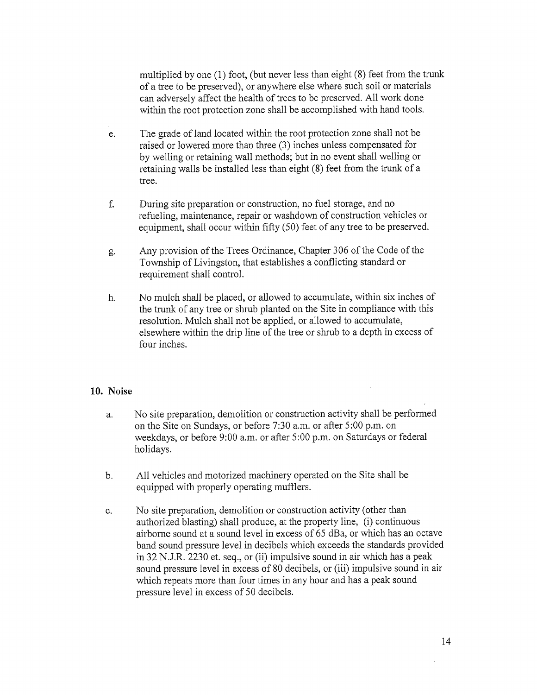multiplied by one (1) foot, (but never less than eight (8) feet from the trunk of <sup>a</sup> tree to be preserved), or anywhere else where such soil or materials can adversely affect the health of trees to be preserved. All work done within the root protection zone shall be accomplished with hand tools.

- e. The grade of land located within the root protection zone shall not be raised or lowered more than three (3) inches unless compensated for by welling or retaining wall methods; but in no event shall welling or retaining walls be installed less than eight (8) feet from the trunk of <sup>a</sup> tree.
- f. During site preparation or construction, no fuel storage, and no refueling, maintenance, repair or washdown of construction vehicles or equipment, shall occur within fifty (50) feet of any tree to be preserved.
- g. Any provision of the Trees Ordinance, Chapter 306 of the Code of the Township of Livingston, that establishes a conflicting standard or requirement shall control.
- h. No mulch shall be placed, or allowed to accumulate, within six inches of the trunk of any tree or shrub planted on the Site in compliance with this resolution. Mulch shall not be applied, or allowed to accumulate, elsewhere within the drip line of the tree or shrub to a depth in excess of four inches.

## 10. Noise

- a. No site preparation, demolition or construction activity shall be performed on the Site on Sundays, or before 7:30 a.m. or after 5:00 p.m. on weekdays, or before 9:00 a.m. or after 5:00 p.m. on Saturdays or federal holidays.
- b. All vehicles and motorized machinery operated on the Site shall be equipped with properly operating mufflers.
- c. No site preparation, demolition or construction activity (other than authorized blasting) shall produce, at the property line, (i) continuous airborne sound at a sound level in excess of 65 dBa, or which has an octave band sound pressure level in decibels which exceeds the standards provided in 32 N.J.R. 2230 et. seq., or (ii) impulsive sound in air which has a peak sound pressure level in excess of 80 decibels, or (iii) impulsive sound in air which repeats more than four times in any hour and has a peak sound pressure level in excess of 50 decibels.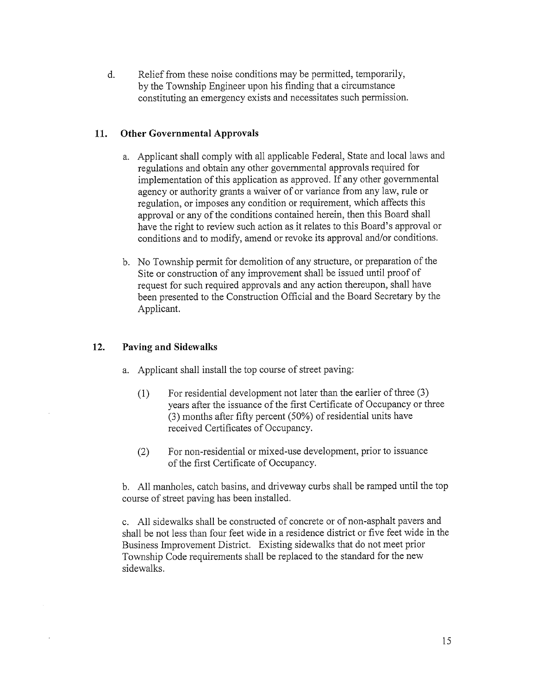d. Relief from these noise conditions may be permitted, temporarily, by the Township Engineer upon his finding that a circumstance constituting an emergency exists and necessitates such permission.

## 11. Other Governmental Approvals

- a. Applicant shall comply with all applicable Federal, State and local laws and regulations and obtain any other governmental approvals required for implementation of this application as approved. If any other governmental agency or authority grants <sup>a</sup> waiver of or variance from any law, rule or regulation, or imposes any condition or requirement, which affects this approval or any of the conditions contained herein, then this Board shall have the right to review such action as, it relates to this Board's approval or conditions and to modify, amend or revoke its approval and/or conditions.
- b. No Township permit for demolition of any structure, or preparation of the Site or construction of any improvement shall be issued until proof of request for such required approvals and any action thereupon, shall have been presented to the Construction Official and the Board Secretary by the Applicant.

## 12. Paving and Sidewalks

- a. Applicant shall install the top course of street paving:
	- $(1)$  For residential development not later than the earlier of three  $(3)$ years after the issuance of the first Certificate of Occupancy or three (3) months after fifty percent (50%) of residential units have received Certificates of Occupancy.
	- (2) For non-residential or mixed-use development, prior to issuance of the first Certificate of Occupancy.

b. All manholes, catch basins, and driveway curbs shall be ramped until the top course of street paving has been installed.

c. All sidewalks shall be constructed of concrete or of non-asphalt payers and shall be not less than four feet wide in a residence district or five feet wide in the Business Improvement District. Existing sidewalks that do not meet prior Township Code requirements shall be replaced to the standard for the new sidewalks.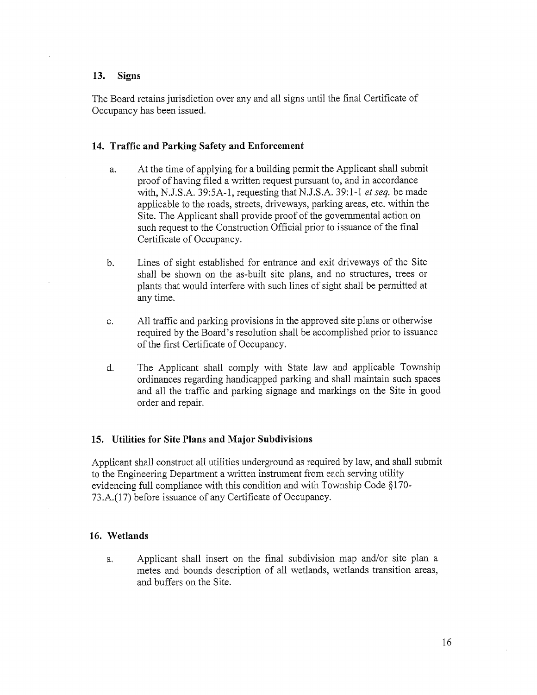### 13. Signs

The Board retains jurisdiction over any and all signs until the final Certificate of Occupancy has been issued.

### 14. Traffic and Parking Safety and Enforcement

- a. At the time of applying for <sup>a</sup> building permit the Applicant shall submit proof of having filed <sup>a</sup> written request pursuant to, and in accordance with, N.J.S.A. 39:5A-1, requesting that N.J.S.A. 39:1-1 et seq. be made applicable to the roads, streets, driveways, parking areas, etc. within the Site. The Applicant shall provide proof of the governmental action on such request to the Construction Official prior to issuance of the final Certificate of Occupancy.
- b. Lines of sight established for entrance and exit driveways of the Site shall be shown on the as-built site pians, and no structures, trees or plants that would interfere with such lines of sight shall be permitted at any time.
- c. All traffic and parking provisions in the approved site plans or otherwise required by the Board's resolution shall be accomplished prior to issuance of the first Certificate of Occupancy.
- d. The Applicant shall comply with State law and applicable Township ordinances regarding handicapped parking and shall maintain such spaces and all the traffic and parking signage and markings on the Site in good order and repair.

### 15. Utilities for Site Plans and Major Subdivisions

Applicant shall construct all utilities underground as required by law, and shall submit to the Engineering Department a written instrument from each serving utility evidencing full compliance with this condition and with Township Code § 170- 73.A.(17) before issuance of any Certificate of Occupancy.

#### 16. Wetlands

a. Applicant shall insert on the final subdivision map and/or site plan a metes and bounds description of all wetlands, wetlands transition areas, and buffers on the Site.